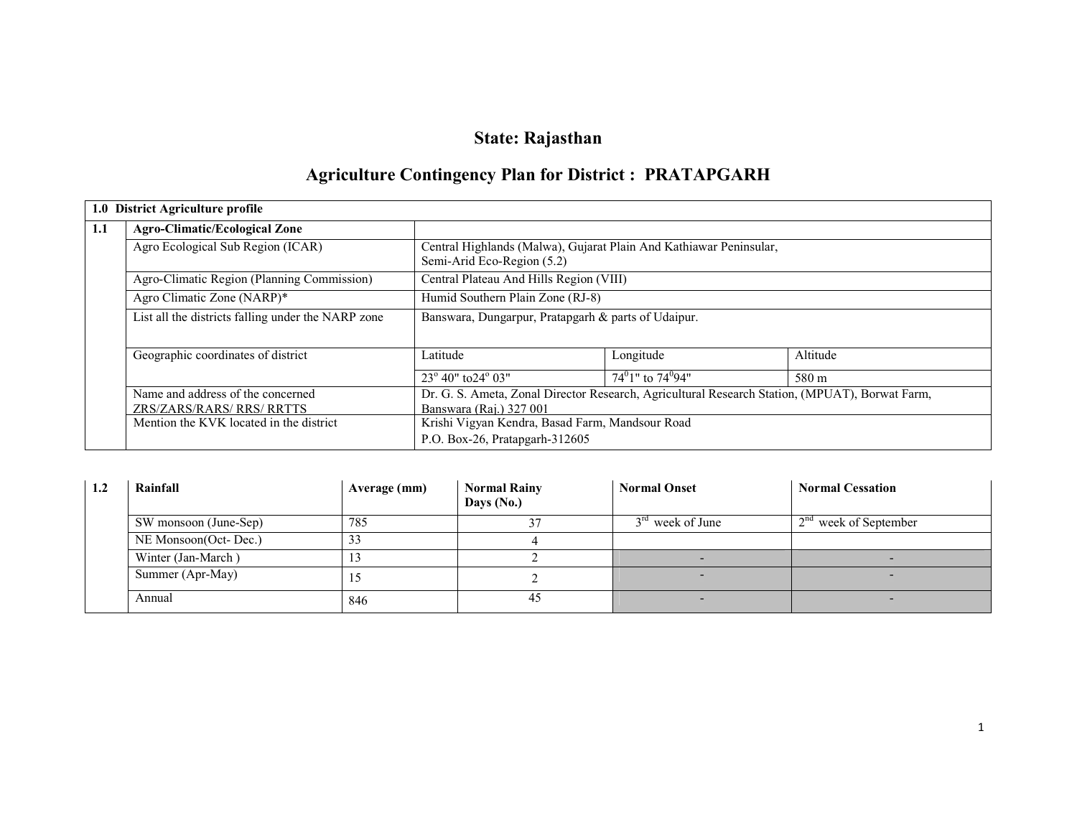# State: Rajasthan

# Agriculture Contingency Plan for District : PRATAPGARH

|     | 1.0 District Agriculture profile                   |                                                                                                |                         |          |  |  |  |
|-----|----------------------------------------------------|------------------------------------------------------------------------------------------------|-------------------------|----------|--|--|--|
| 1.1 | <b>Agro-Climatic/Ecological Zone</b>               |                                                                                                |                         |          |  |  |  |
|     | Agro Ecological Sub Region (ICAR)                  | Central Highlands (Malwa), Gujarat Plain And Kathiawar Peninsular,                             |                         |          |  |  |  |
|     |                                                    | Semi-Arid Eco-Region (5.2)                                                                     |                         |          |  |  |  |
|     | Agro-Climatic Region (Planning Commission)         | Central Plateau And Hills Region (VIII)                                                        |                         |          |  |  |  |
|     | Agro Climatic Zone (NARP)*                         | Humid Southern Plain Zone (RJ-8)                                                               |                         |          |  |  |  |
|     | List all the districts falling under the NARP zone | Banswara, Dungarpur, Pratapgarh & parts of Udaipur.                                            |                         |          |  |  |  |
|     | Geographic coordinates of district                 | Latitude                                                                                       | Longitude               | Altitude |  |  |  |
|     |                                                    | $23^{\circ}$ 40" to $24^{\circ}$ 03"                                                           | $74^01$ " to $74^094$ " | 580 m    |  |  |  |
|     | Name and address of the concerned                  | Dr. G. S. Ameta, Zonal Director Research, Agricultural Research Station, (MPUAT), Borwat Farm, |                         |          |  |  |  |
|     | ZRS/ZARS/RARS/ RRS/ RRTTS                          | Banswara (Rai.) 327 001                                                                        |                         |          |  |  |  |
|     | Mention the KVK located in the district            | Krishi Vigyan Kendra, Basad Farm, Mandsour Road                                                |                         |          |  |  |  |
|     |                                                    | P.O. Box-26, Pratapgarh-312605                                                                 |                         |          |  |  |  |

| 1.2 | Rainfall              | Average (mm) | <b>Normal Rainy</b><br>Days (No.) | <b>Normal Onset</b> | <b>Normal Cessation</b> |
|-----|-----------------------|--------------|-----------------------------------|---------------------|-------------------------|
|     | SW monsoon (June-Sep) | 785          |                                   | $3rd$ week of June  | $2nd$ week of September |
|     | NE Monsoon(Oct-Dec.)  | 33           |                                   |                     |                         |
|     | Winter (Jan-March)    |              |                                   |                     |                         |
|     | Summer (Apr-May)      | 12           |                                   |                     |                         |
|     | Annual                | 846          | 45                                |                     |                         |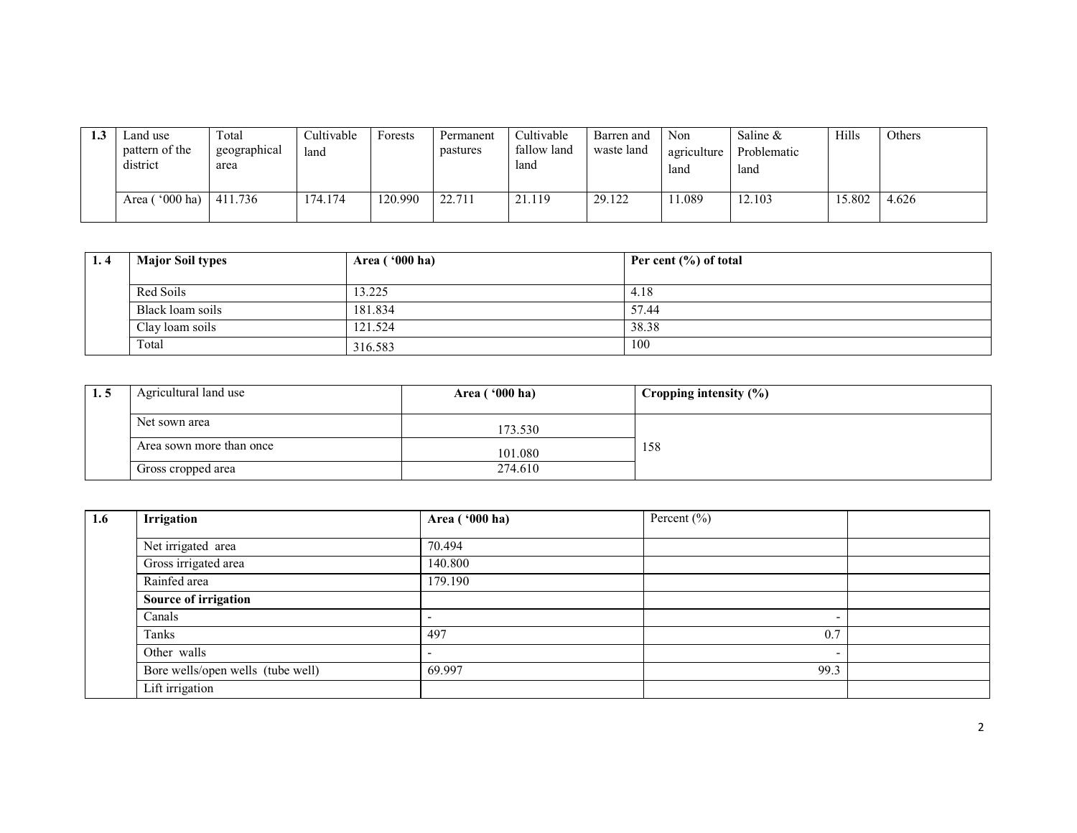| <br>Land use<br>pattern of the<br>district | Total<br>geographical<br>area | Cultivable<br>land | Forests | Permanent<br>pastures | Cultivable<br>fallow land<br>land | Barren and<br>waste land | Non<br>agriculture<br>land | Saline &<br>Problematic<br>land | Hills  | Others |
|--------------------------------------------|-------------------------------|--------------------|---------|-----------------------|-----------------------------------|--------------------------|----------------------------|---------------------------------|--------|--------|
| Area $($ '000 ha)                          | 411.736                       | 174.174            | 120.990 | 22.711                | 21.119                            | 29.122                   | 1.089                      | 12.103                          | 15.802 | 4.626  |

| 1.4 | <b>Major Soil types</b> | Area ('000 ha) | Per cent $(\% )$ of total |
|-----|-------------------------|----------------|---------------------------|
|     | Red Soils               | 3.225          | 4.18                      |
|     | Black loam soils        | 181.834        | 57.44                     |
|     | Clay loam soils         | 121.524        | 38.38                     |
|     | Total                   | 316.583        | 100                       |

| 1.5 | Agricultural land use    | Area $(900 \text{ ha})$ | Cropping intensity $(\%)$ |
|-----|--------------------------|-------------------------|---------------------------|
|     | Net sown area            | 173.530                 |                           |
|     | Area sown more than once | 101.080                 | 158                       |
|     | Gross cropped area       | 274.610                 |                           |

| 1.6 | <b>Irrigation</b>                 | Area ('000 ha)           | Percent $(\% )$          |  |
|-----|-----------------------------------|--------------------------|--------------------------|--|
|     |                                   |                          |                          |  |
|     | Net irrigated area                | 70.494                   |                          |  |
|     | Gross irrigated area              | 140.800                  |                          |  |
|     | Rainfed area                      | 179.190                  |                          |  |
|     | Source of irrigation              |                          |                          |  |
|     | Canals                            | ٠                        | $\overline{\phantom{0}}$ |  |
|     | Tanks                             | 497                      | 0.7                      |  |
|     | Other walls                       | $\overline{\phantom{a}}$ | $\overline{\phantom{0}}$ |  |
|     | Bore wells/open wells (tube well) | 69.997                   | 99.3                     |  |
|     | Lift irrigation                   |                          |                          |  |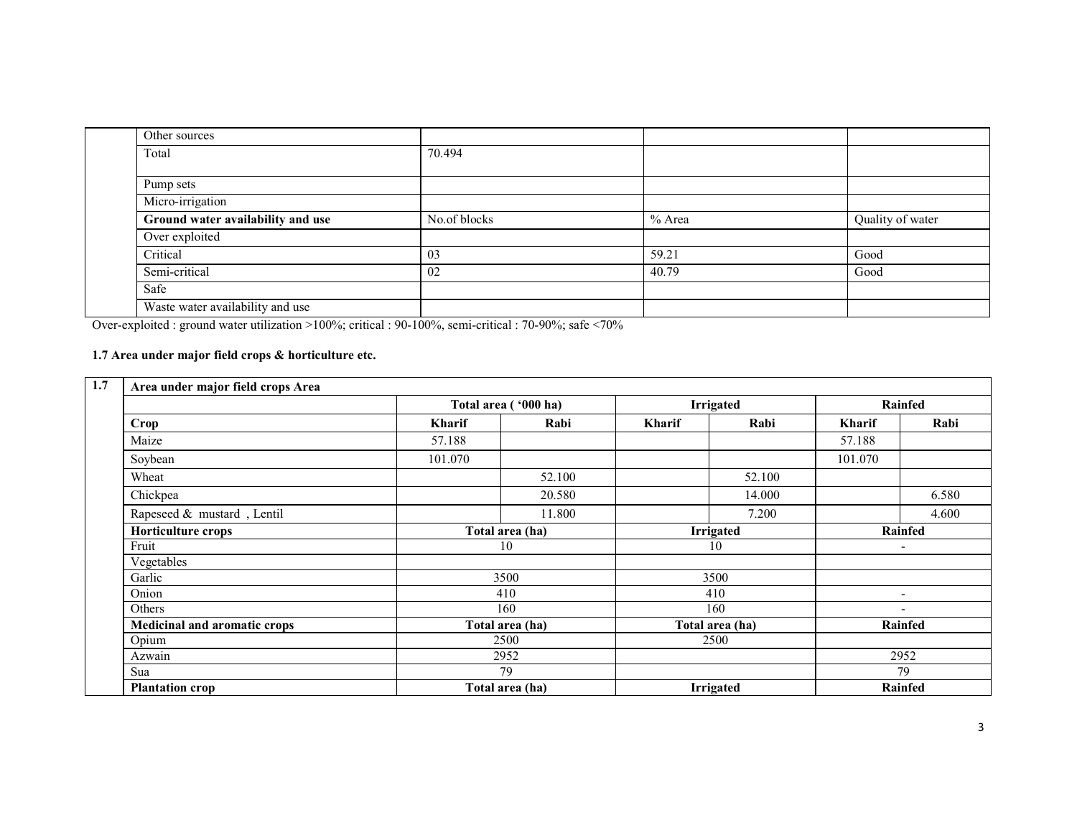| Other sources                     |              |          |                  |
|-----------------------------------|--------------|----------|------------------|
| Total                             | 70.494       |          |                  |
| Pump sets                         |              |          |                  |
| Micro-irrigation                  |              |          |                  |
| Ground water availability and use | No.of blocks | $%$ Area | Quality of water |
| Over exploited                    |              |          |                  |
| Critical                          | 03           | 59.21    | Good             |
| Semi-critical                     | 02           | 40.79    | Good             |
| Safe                              |              |          |                  |
| Waste water availability and use  |              |          |                  |

Over-exploited : ground water utilization >100%; critical : 90-100%, semi-critical : 70-90%; safe <70%

#### 1.7 Area under major field crops & horticulture etc.

| 1.7 | Area under major field crops Area |               |                      |               |                  |               |                          |
|-----|-----------------------------------|---------------|----------------------|---------------|------------------|---------------|--------------------------|
|     |                                   |               | Total area ('000 ha) |               | <b>Irrigated</b> |               | Rainfed                  |
|     | Crop                              | <b>Kharif</b> | Rabi                 | <b>Kharif</b> | Rabi             | <b>Kharif</b> | Rabi                     |
|     | Maize                             | 57.188        |                      |               |                  | 57.188        |                          |
|     | Soybean                           | 101.070       |                      |               |                  | 101.070       |                          |
|     | Wheat                             |               | 52.100               |               | 52.100           |               |                          |
|     | Chickpea                          |               | 20.580               |               | 14.000           |               | 6.580                    |
|     | Rapeseed & mustard, Lentil        |               | 11.800               |               | 7.200            |               | 4.600                    |
|     | <b>Horticulture crops</b>         |               | Total area (ha)      |               | <b>Irrigated</b> |               | Rainfed                  |
|     | Fruit                             |               | 10                   |               | 10               |               | $\overline{\phantom{a}}$ |
|     | Vegetables                        |               |                      |               |                  |               |                          |
|     | Garlic                            |               | 3500                 |               | 3500             |               |                          |
|     | Onion                             |               | 410                  |               | 410              |               | -                        |
|     | Others                            |               | 160                  | 160           |                  |               |                          |
|     | Medicinal and aromatic crops      |               | Total area (ha)      |               | Total area (ha)  |               | Rainfed                  |
|     | Opium                             |               | 2500                 |               | 2500             |               |                          |
|     | Azwain                            |               | 2952                 |               |                  |               | 2952                     |
|     | Sua                               |               | 79                   |               |                  |               | 79                       |
|     | <b>Plantation crop</b>            |               | Total area (ha)      |               | <b>Irrigated</b> |               | <b>Rainfed</b>           |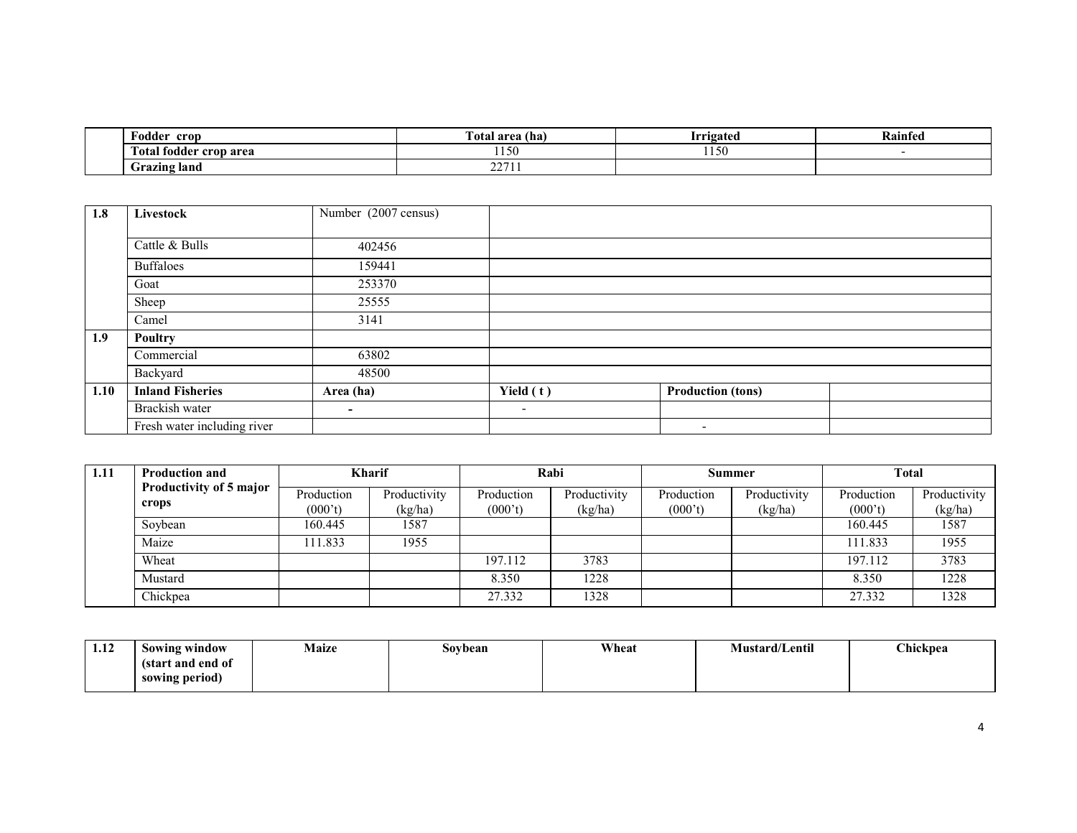| Ð<br>crop<br>Fodder                                 | $\sim$<br>[otal area (ha)        | rrigateu        | Kainfed |
|-----------------------------------------------------|----------------------------------|-----------------|---------|
| $\sim$<br><sup>.</sup> crop area<br>todder<br>Total | 1.1 <sub>5</sub><br>1.00         | $+ + -$<br>.150 |         |
| <b>Grazing land</b>                                 | $\sim$ $\sim$ $\sim$ $\sim$<br>. |                 |         |

| 1.8  | <b>Livestock</b>            | Number (2007 census) |                          |                          |  |
|------|-----------------------------|----------------------|--------------------------|--------------------------|--|
|      |                             |                      |                          |                          |  |
|      | Cattle & Bulls              | 402456               |                          |                          |  |
|      | <b>Buffaloes</b>            | 159441               |                          |                          |  |
|      | Goat                        | 253370               |                          |                          |  |
|      | Sheep                       | 25555                |                          |                          |  |
|      | Camel                       | 3141                 |                          |                          |  |
| 1.9  | <b>Poultry</b>              |                      |                          |                          |  |
|      | Commercial                  | 63802                |                          |                          |  |
|      | Backyard                    | 48500                |                          |                          |  |
| 1.10 | <b>Inland Fisheries</b>     | Area (ha)            | Yield (t)                | <b>Production (tons)</b> |  |
|      | Brackish water              | ٠                    | $\overline{\phantom{0}}$ |                          |  |
|      | Fresh water including river |                      |                          | $\overline{\phantom{0}}$ |  |

| 1.11 | <b>Production and</b>            |                       | <b>Kharif</b>           | Rabi                  |                         | Summer                |                         | <b>Total</b>          |                         |
|------|----------------------------------|-----------------------|-------------------------|-----------------------|-------------------------|-----------------------|-------------------------|-----------------------|-------------------------|
|      | Productivity of 5 major<br>crops | Production<br>(000't) | Productivity<br>(kg/ha) | Production<br>(000't) | Productivity<br>(kg/ha) | Production<br>(000't) | Productivity<br>(kg/ha) | Production<br>(000't) | Productivity<br>(kg/ha) |
|      | Soybean                          | 160.445               | 1587                    |                       |                         |                       |                         | 160.445               | 1587                    |
|      | Maize                            | 111.833               | 1955                    |                       |                         |                       |                         | 111.833               | 1955                    |
|      | Wheat                            |                       |                         | 197.112               | 3783                    |                       |                         | 197.112               | 3783                    |
|      | Mustard                          |                       |                         | 8.350                 | 1228                    |                       |                         | 8.350                 | 1228                    |
|      | Chickpea                         |                       |                         | 27.332                | 1328                    |                       |                         | 27.332                | 1328                    |

| 1.12<br>the contract of the contract of | Sowing window     | <b>Maize</b> | Soybean | Wheat | <b>Mustard/Lentil</b> | <b>Chickpea</b> |
|-----------------------------------------|-------------------|--------------|---------|-------|-----------------------|-----------------|
|                                         | (start and end of |              |         |       |                       |                 |
|                                         | sowing period)    |              |         |       |                       |                 |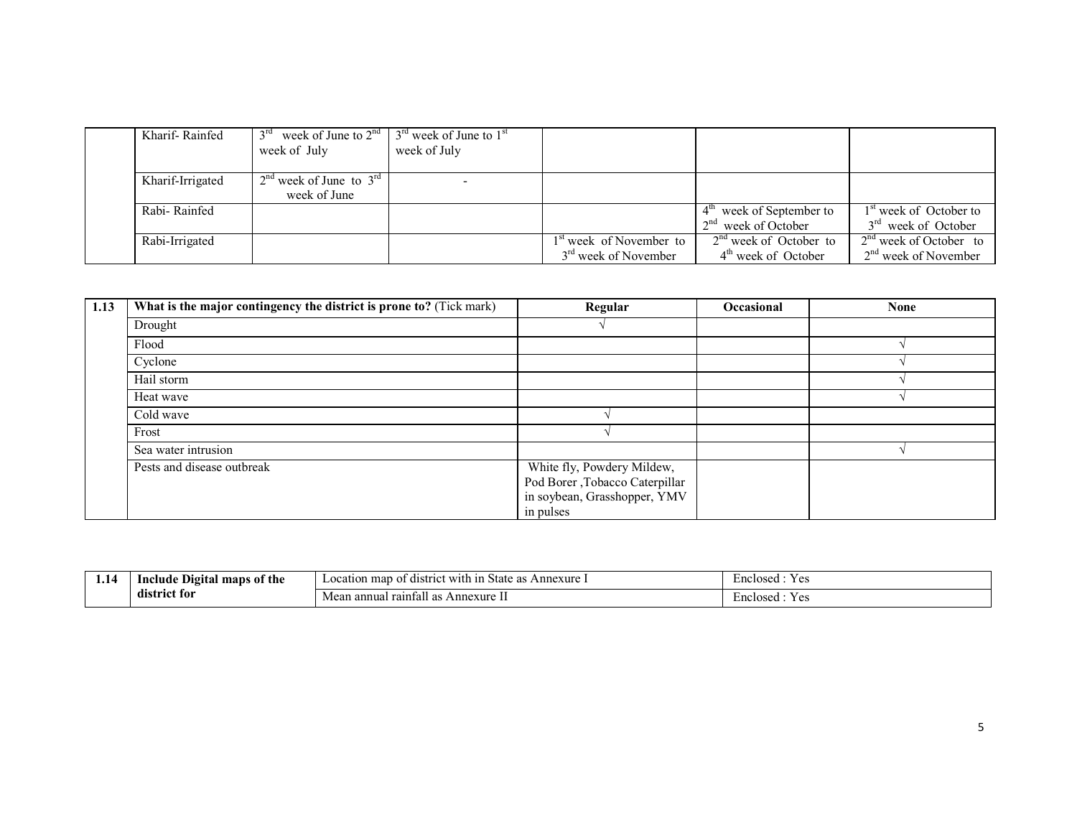| Kharif-Rainfed   | week of July                                      | week of June to $2^{nd}$   $3^{rd}$ week of June to $1^{st}$<br>week of July |                                                                         |                                                                |                                                             |
|------------------|---------------------------------------------------|------------------------------------------------------------------------------|-------------------------------------------------------------------------|----------------------------------------------------------------|-------------------------------------------------------------|
| Kharif-Irrigated | $2^{nd}$ week of June to $3^{rd}$<br>week of June |                                                                              |                                                                         |                                                                |                                                             |
| Rabi-Rainfed     |                                                   |                                                                              |                                                                         | $4^{\mathrm{m}}$ week of September to<br>$2nd$ week of October | 1 <sup>st</sup> week of October to<br>$3rd$ week of October |
| Rabi-Irrigated   |                                                   |                                                                              | 1 <sup>st</sup> week of November to<br>3 <sup>rd</sup> week of November | $2nd$ week of October to<br>4 <sup>th</sup> week of October    | $2nd$ week of October to<br>$2nd$ week of November          |

| 1.13 | What is the major contingency the district is prone to? (Tick mark) | Regular                                                                                                    | Occasional | <b>None</b> |
|------|---------------------------------------------------------------------|------------------------------------------------------------------------------------------------------------|------------|-------------|
|      | Drought                                                             |                                                                                                            |            |             |
|      | Flood                                                               |                                                                                                            |            |             |
|      | Cyclone                                                             |                                                                                                            |            |             |
|      | Hail storm                                                          |                                                                                                            |            |             |
|      | Heat wave                                                           |                                                                                                            |            |             |
|      | Cold wave                                                           |                                                                                                            |            |             |
|      | Frost                                                               |                                                                                                            |            |             |
|      | Sea water intrusion                                                 |                                                                                                            |            |             |
|      | Pests and disease outbreak                                          | White fly, Powdery Mildew,<br>Pod Borer , Tobacco Caterpillar<br>in soybean, Grasshopper, YMV<br>in pulses |            |             |

| 1.14 | - -<br>Include<br>maps of the<br>Digital | map<br>-1n<br>Annexure<br>i district with<br>State as<br>Location | Enclosed<br>$\mathbf{v}$<br>1 UC |
|------|------------------------------------------|-------------------------------------------------------------------|----------------------------------|
|      | $\blacksquare$<br>-district for          | $\rightarrow$<br>raintall as !<br>Annexure<br>annual<br>Mea       | Enclosed<br>- 1. VC              |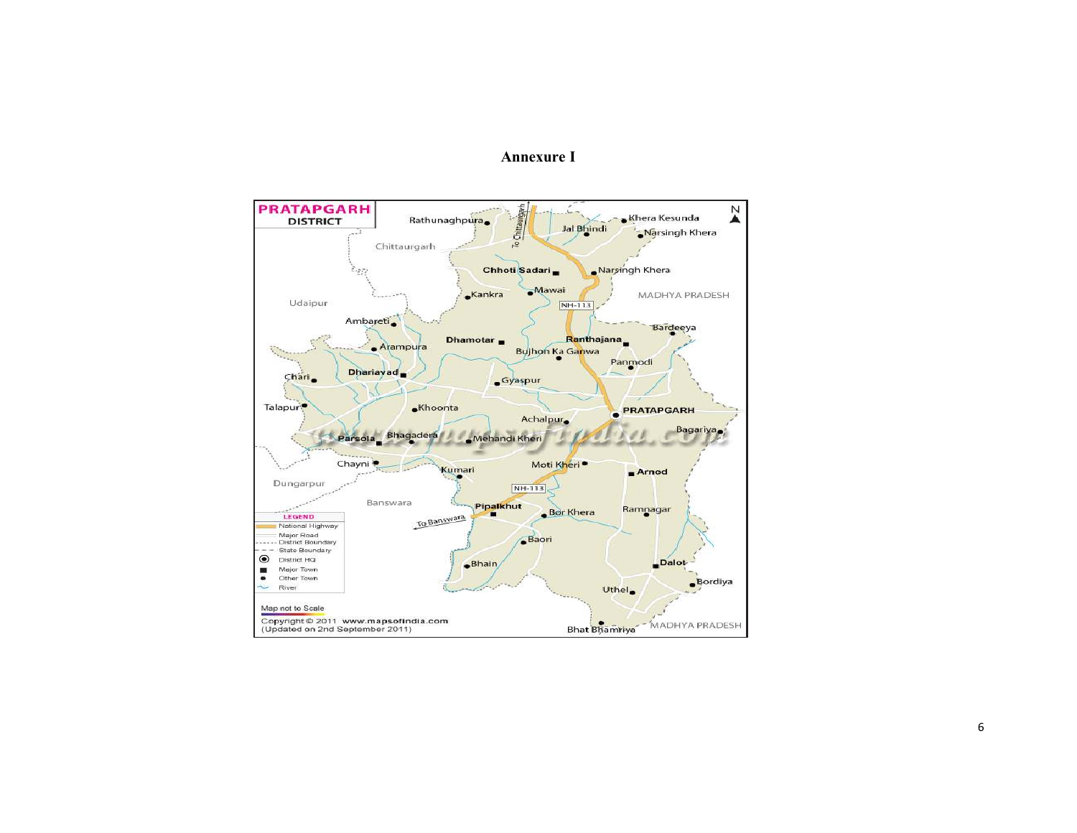### Annexure I

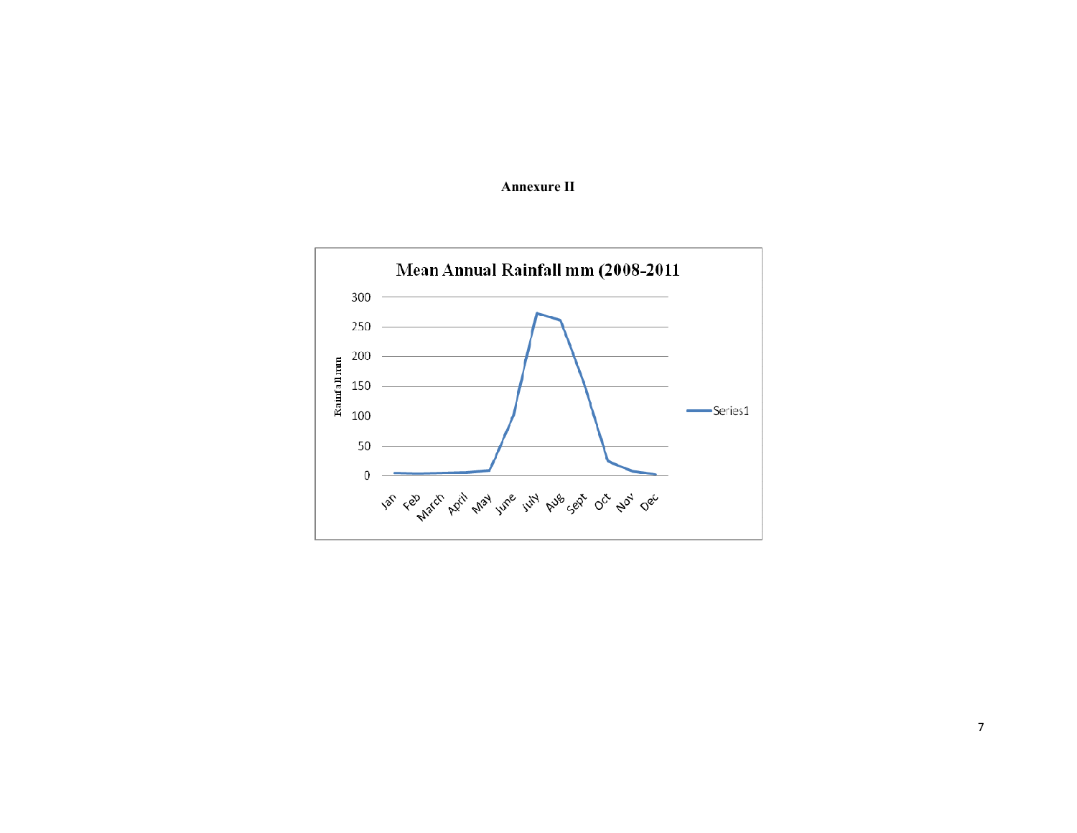

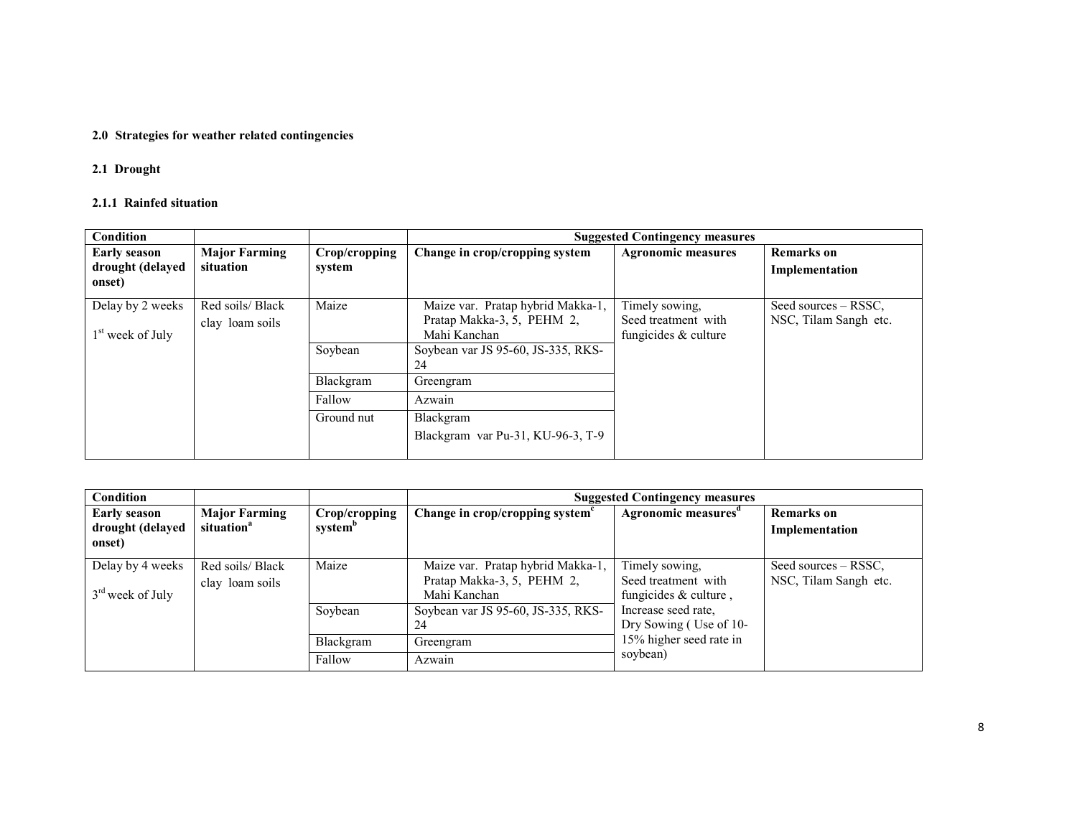# 2.0 Strategies for weather related contingencies

#### 2.1 Drought

#### 2.1.1 Rainfed situation

| Condition           |                      |               |                                    | <b>Suggested Contingency measures</b> |                       |
|---------------------|----------------------|---------------|------------------------------------|---------------------------------------|-----------------------|
| <b>Early season</b> | <b>Major Farming</b> | Crop/cropping | Change in crop/cropping system     | <b>Agronomic measures</b>             | <b>Remarks</b> on     |
| drought (delayed    | situation            | system        |                                    |                                       | Implementation        |
| onset)              |                      |               |                                    |                                       |                       |
| Delay by 2 weeks    | Red soils/ Black     | Maize         | Maize var. Pratap hybrid Makka-1,  | Timely sowing.                        | Seed sources – RSSC.  |
|                     | clay loam soils      |               | Pratap Makka-3, 5, PEHM 2,         | Seed treatment with                   | NSC, Tilam Sangh etc. |
| $1st$ week of July  |                      |               | Mahi Kanchan                       | fungicides $&$ culture                |                       |
|                     |                      | Soybean       | Soybean var JS 95-60, JS-335, RKS- |                                       |                       |
|                     |                      |               | 24                                 |                                       |                       |
|                     |                      | Blackgram     | Greengram                          |                                       |                       |
|                     |                      | Fallow        | Azwain                             |                                       |                       |
|                     |                      | Ground nut    | Blackgram                          |                                       |                       |
|                     |                      |               | Blackgram var Pu-31, KU-96-3, T-9  |                                       |                       |
|                     |                      |               |                                    |                                       |                       |

| Condition                                         |                                                |                                      |                                                                                 | <b>Suggested Contingency measures</b>                            |                                               |  |  |
|---------------------------------------------------|------------------------------------------------|--------------------------------------|---------------------------------------------------------------------------------|------------------------------------------------------------------|-----------------------------------------------|--|--|
| <b>Early season</b><br>drought (delayed<br>onset) | <b>Major Farming</b><br>situation <sup>a</sup> | Crop/cropping<br>system <sup>b</sup> | Change in crop/cropping system <sup>c</sup>                                     | Agronomic measures <sup>a</sup>                                  | <b>Remarks</b> on<br>Implementation           |  |  |
| Delay by 4 weeks<br>$3rd$ week of July            | Red soils/ Black<br>clay loam soils            | Maize                                | Maize var. Pratap hybrid Makka-1,<br>Pratap Makka-3, 5, PEHM 2,<br>Mahi Kanchan | Timely sowing,<br>Seed treatment with<br>fungicides $&$ culture, | Seed sources – RSSC,<br>NSC, Tilam Sangh etc. |  |  |
|                                                   |                                                | Soybean                              | Soybean var JS 95-60, JS-335, RKS-<br>24                                        | Increase seed rate,<br>Dry Sowing (Use of 10-                    |                                               |  |  |
|                                                   |                                                | Blackgram                            | Greengram                                                                       | 15% higher seed rate in                                          |                                               |  |  |
|                                                   |                                                | Fallow                               | Azwain                                                                          | soybean)                                                         |                                               |  |  |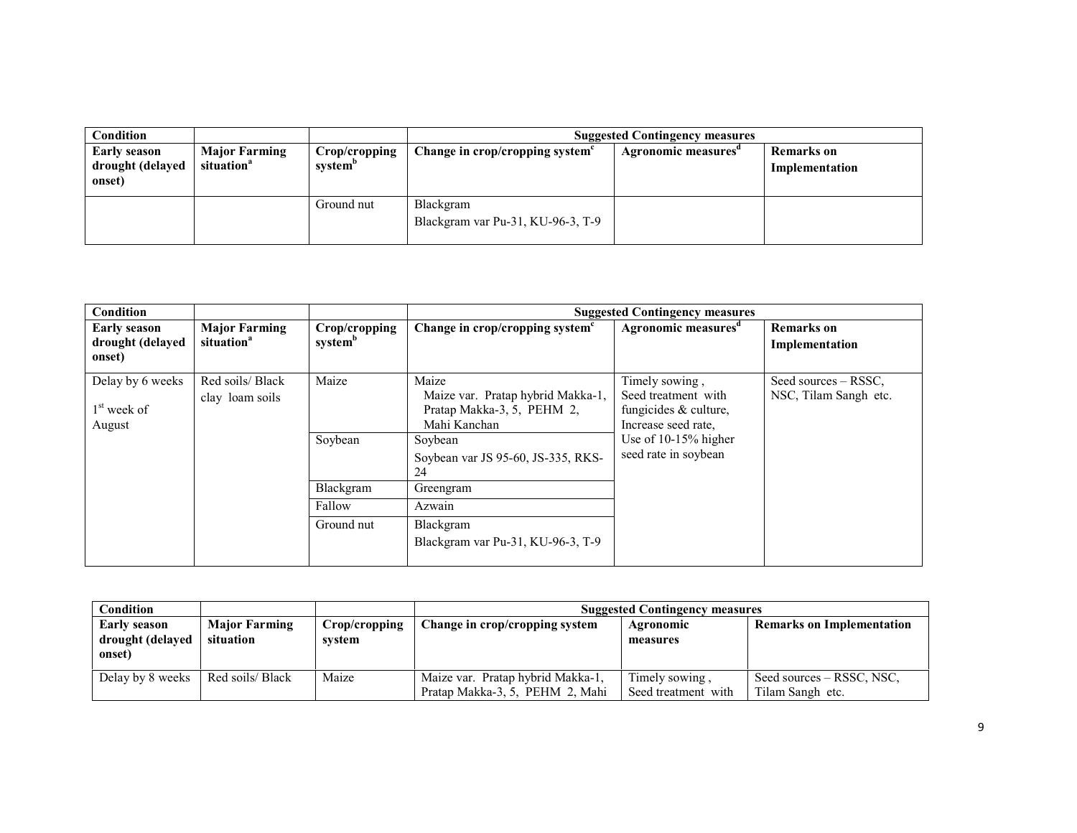| Condition                                         |                                                |                                      | <b>Suggested Contingency measures</b>          |                    |                                     |  |
|---------------------------------------------------|------------------------------------------------|--------------------------------------|------------------------------------------------|--------------------|-------------------------------------|--|
| <b>Early season</b><br>drought (delayed<br>onset) | <b>Major Farming</b><br>situation <sup>a</sup> | Crop/cropping<br>system <sup>p</sup> | Change in crop/cropping system <sup>e</sup>    | Agronomic measures | <b>Remarks</b> on<br>Implementation |  |
|                                                   |                                                | Ground nut                           | Blackgram<br>Blackgram var Pu-31, KU-96-3, T-9 |                    |                                     |  |

| Condition                                         |                                                |                                      |                                                                                                                   | <b>Suggested Contingency measures</b>                                                                           |                                               |
|---------------------------------------------------|------------------------------------------------|--------------------------------------|-------------------------------------------------------------------------------------------------------------------|-----------------------------------------------------------------------------------------------------------------|-----------------------------------------------|
| <b>Early season</b><br>drought (delayed<br>onset) | <b>Major Farming</b><br>situation <sup>a</sup> | Crop/cropping<br>system <sup>b</sup> | Change in crop/cropping system <sup>c</sup>                                                                       | Agronomic measures <sup>a</sup>                                                                                 | <b>Remarks</b> on<br>Implementation           |
| Delay by 6 weeks<br>$1st$ week of<br>August       | Red soils/ Black<br>clay loam soils            | Maize<br>Soybean                     | Maize<br>Maize var. Pratap hybrid Makka-1,<br>Pratap Makka-3, 5, PEHM 2,<br>Mahi Kanchan<br>Soybean               | Timely sowing,<br>Seed treatment with<br>fungicides & culture,<br>Increase seed rate,<br>Use of $10-15%$ higher | Seed sources – RSSC,<br>NSC, Tilam Sangh etc. |
|                                                   |                                                | Blackgram<br>Fallow<br>Ground nut    | Soybean var JS 95-60, JS-335, RKS-<br>24<br>Greengram<br>Azwain<br>Blackgram<br>Blackgram var Pu-31, KU-96-3, T-9 | seed rate in soybean                                                                                            |                                               |

| Condition                                         |                                   |                         | <b>Suggested Contingency measures</b>                                |                                       |                                               |  |
|---------------------------------------------------|-----------------------------------|-------------------------|----------------------------------------------------------------------|---------------------------------------|-----------------------------------------------|--|
| <b>Early season</b><br>drought (delayed<br>onset) | <b>Major Farming</b><br>situation | Crop/cropping<br>system | Change in crop/cropping system                                       | Agronomic<br>measures                 | <b>Remarks on Implementation</b>              |  |
| Delay by 8 weeks                                  | Red soils/ Black                  | Maize                   | Maize var. Pratap hybrid Makka-1,<br>Pratap Makka-3, 5, PEHM 2, Mahi | Timely sowing.<br>Seed treatment with | Seed sources – RSSC, NSC,<br>Tilam Sangh etc. |  |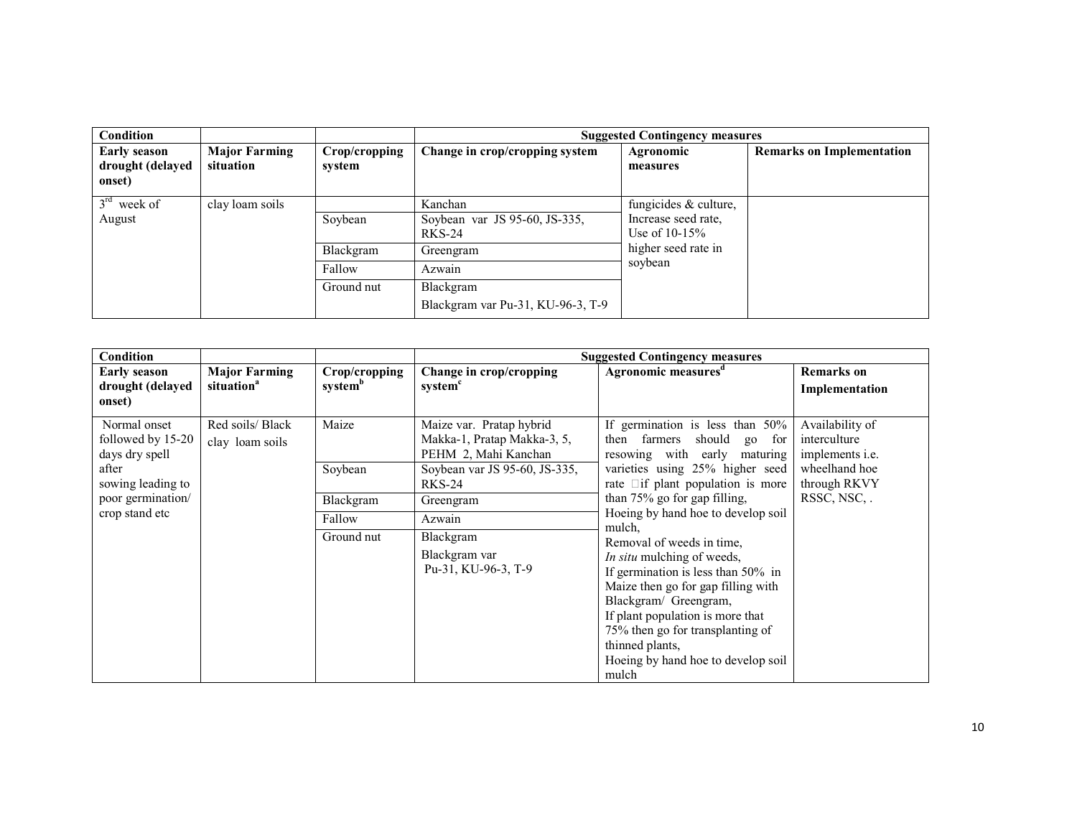| Condition                                         |                                   |                         | <b>Suggested Contingency measures</b>                     |                                                                   |                                  |  |
|---------------------------------------------------|-----------------------------------|-------------------------|-----------------------------------------------------------|-------------------------------------------------------------------|----------------------------------|--|
| <b>Early season</b><br>drought (delayed<br>onset) | <b>Major Farming</b><br>situation | Crop/cropping<br>system | Change in crop/cropping system                            | Agronomic<br>measures                                             | <b>Remarks on Implementation</b> |  |
| $3rd$ week of<br>August                           | clay loam soils                   | Soybean                 | Kanchan<br>Soybean var JS 95-60, JS-335,<br><b>RKS-24</b> | fungicides $&$ culture,<br>Increase seed rate,<br>Use of $10-15%$ |                                  |  |
|                                                   |                                   | Blackgram               | Greengram                                                 | higher seed rate in                                               |                                  |  |
|                                                   |                                   | Fallow                  | Azwain                                                    | soybean                                                           |                                  |  |
|                                                   |                                   | Ground nut              | Blackgram<br>Blackgram var Pu-31, KU-96-3, T-9            |                                                                   |                                  |  |

| <b>Condition</b>                                                                                                         |                                                |                                                       |                                                                                                                                                                                                               | <b>Suggested Contingency measures</b>                                                                                                                                                                                                                                                                                                                                                                                                                                                                                                                                             |                                                                                                           |
|--------------------------------------------------------------------------------------------------------------------------|------------------------------------------------|-------------------------------------------------------|---------------------------------------------------------------------------------------------------------------------------------------------------------------------------------------------------------------|-----------------------------------------------------------------------------------------------------------------------------------------------------------------------------------------------------------------------------------------------------------------------------------------------------------------------------------------------------------------------------------------------------------------------------------------------------------------------------------------------------------------------------------------------------------------------------------|-----------------------------------------------------------------------------------------------------------|
| Early season<br>drought (delayed<br>onset)                                                                               | <b>Major Farming</b><br>situation <sup>a</sup> | Crop/cropping<br>system <sup>b</sup>                  | Change in crop/cropping<br>system <sup>c</sup>                                                                                                                                                                | Agronomic measures <sup>d</sup>                                                                                                                                                                                                                                                                                                                                                                                                                                                                                                                                                   | <b>Remarks</b> on<br>Implementation                                                                       |
| Normal onset<br>followed by 15-20<br>days dry spell<br>after<br>sowing leading to<br>poor germination/<br>crop stand etc | Red soils/ Black<br>clay loam soils            | Maize<br>Soybean<br>Blackgram<br>Fallow<br>Ground nut | Maize var. Pratap hybrid<br>Makka-1, Pratap Makka-3, 5,<br>PEHM 2, Mahi Kanchan<br>Soybean var JS 95-60, JS-335,<br><b>RKS-24</b><br>Greengram<br>Azwain<br>Blackgram<br>Blackgram var<br>Pu-31, KU-96-3, T-9 | If germination is less than $50\%$<br>should<br>farmers<br>then<br>for<br>$g_0$<br>resowing with early<br>maturing<br>varieties using 25% higher seed<br>rate $\Box$ if plant population is more<br>than 75% go for gap filling,<br>Hoeing by hand hoe to develop soil<br>mulch,<br>Removal of weeds in time.<br>In situ mulching of weeds,<br>If germination is less than 50% in<br>Maize then go for gap filling with<br>Blackgram/ Greengram,<br>If plant population is more that<br>75% then go for transplanting of<br>thinned plants,<br>Hoeing by hand hoe to develop soil | Availability of<br>interculture<br>implements <i>i.e.</i><br>wheelhand hoe<br>through RKVY<br>RSSC, NSC,. |
|                                                                                                                          |                                                |                                                       |                                                                                                                                                                                                               | mulch                                                                                                                                                                                                                                                                                                                                                                                                                                                                                                                                                                             |                                                                                                           |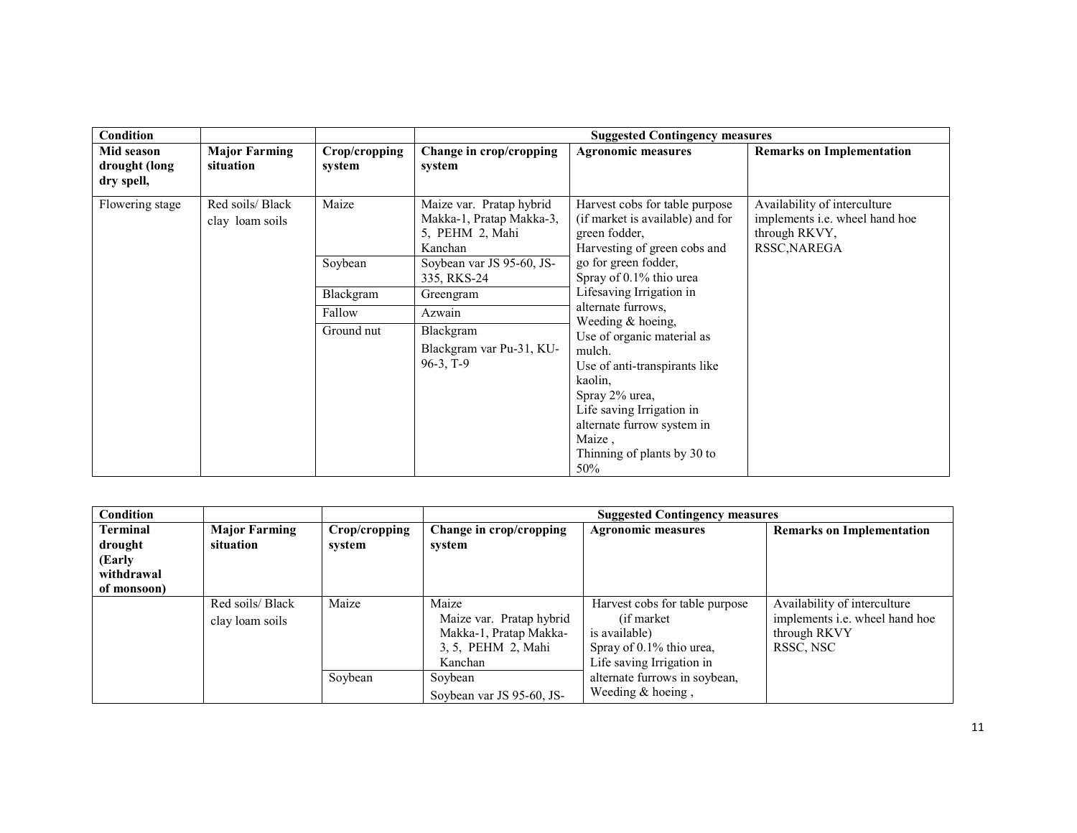| Condition                                 |                                     |                         |                                                                                    | <b>Suggested Contingency measures</b>                                                                                                                                                                                              |                                                                       |
|-------------------------------------------|-------------------------------------|-------------------------|------------------------------------------------------------------------------------|------------------------------------------------------------------------------------------------------------------------------------------------------------------------------------------------------------------------------------|-----------------------------------------------------------------------|
| Mid season<br>drought (long<br>dry spell, | <b>Major Farming</b><br>situation   | Crop/cropping<br>system | Change in crop/cropping<br>system                                                  | <b>Agronomic measures</b>                                                                                                                                                                                                          | <b>Remarks on Implementation</b>                                      |
| Flowering stage                           | Red soils/ Black<br>clay loam soils | Maize                   | Maize var. Pratap hybrid<br>Makka-1, Pratap Makka-3,<br>5, PEHM 2, Mahi<br>Kanchan | Harvest cobs for table purpose<br>(if market is available) and for<br>through RKVY,<br>green fodder,<br>Harvesting of green cobs and<br>RSSC, NAREGA                                                                               | Availability of interculture<br>implements <i>i.e.</i> wheel hand hoe |
|                                           |                                     | Soybean                 | Soybean var JS 95-60, JS-<br>335, RKS-24                                           | go for green fodder,<br>Spray of 0.1% thio urea                                                                                                                                                                                    |                                                                       |
|                                           |                                     | Blackgram               | Greengram                                                                          | Lifesaving Irrigation in                                                                                                                                                                                                           |                                                                       |
|                                           |                                     | Fallow                  | Azwain                                                                             | alternate furrows,                                                                                                                                                                                                                 |                                                                       |
|                                           |                                     | Ground nut              | Blackgram<br>Blackgram var Pu-31, KU-<br>$96-3, T-9$                               | Weeding & hoeing,<br>Use of organic material as<br>mulch.<br>Use of anti-transpirants like<br>kaolin,<br>Spray 2% urea,<br>Life saving Irrigation in<br>alternate furrow system in<br>Maize,<br>Thinning of plants by 30 to<br>50% |                                                                       |

| <b>Condition</b> |                      |               | <b>Suggested Contingency measures</b> |                                |                                       |
|------------------|----------------------|---------------|---------------------------------------|--------------------------------|---------------------------------------|
| <b>Terminal</b>  | <b>Major Farming</b> | Crop/cropping | Change in crop/cropping               | <b>Agronomic measures</b>      | <b>Remarks on Implementation</b>      |
| drought          | situation            | system        | system                                |                                |                                       |
| (Early           |                      |               |                                       |                                |                                       |
| withdrawal       |                      |               |                                       |                                |                                       |
| of monsoon)      |                      |               |                                       |                                |                                       |
|                  | Red soils/ Black     | Maize         | Maize                                 | Harvest cobs for table purpose | Availability of interculture          |
|                  | clay loam soils      |               | Maize var. Pratap hybrid              | (if market)                    | implements <i>i.e.</i> wheel hand hoe |
|                  |                      |               | Makka-1, Pratap Makka-                | is available)                  | through RKVY                          |
|                  |                      |               | 3, 5, PEHM 2, Mahi                    | Spray of 0.1% thio urea,       | RSSC, NSC                             |
|                  |                      |               | Kanchan                               | Life saving Irrigation in      |                                       |
|                  |                      | Soybean       | Soybean                               | alternate furrows in soybean,  |                                       |
|                  |                      |               | Soybean var JS 95-60, JS-             | Weeding $&$ hoeing,            |                                       |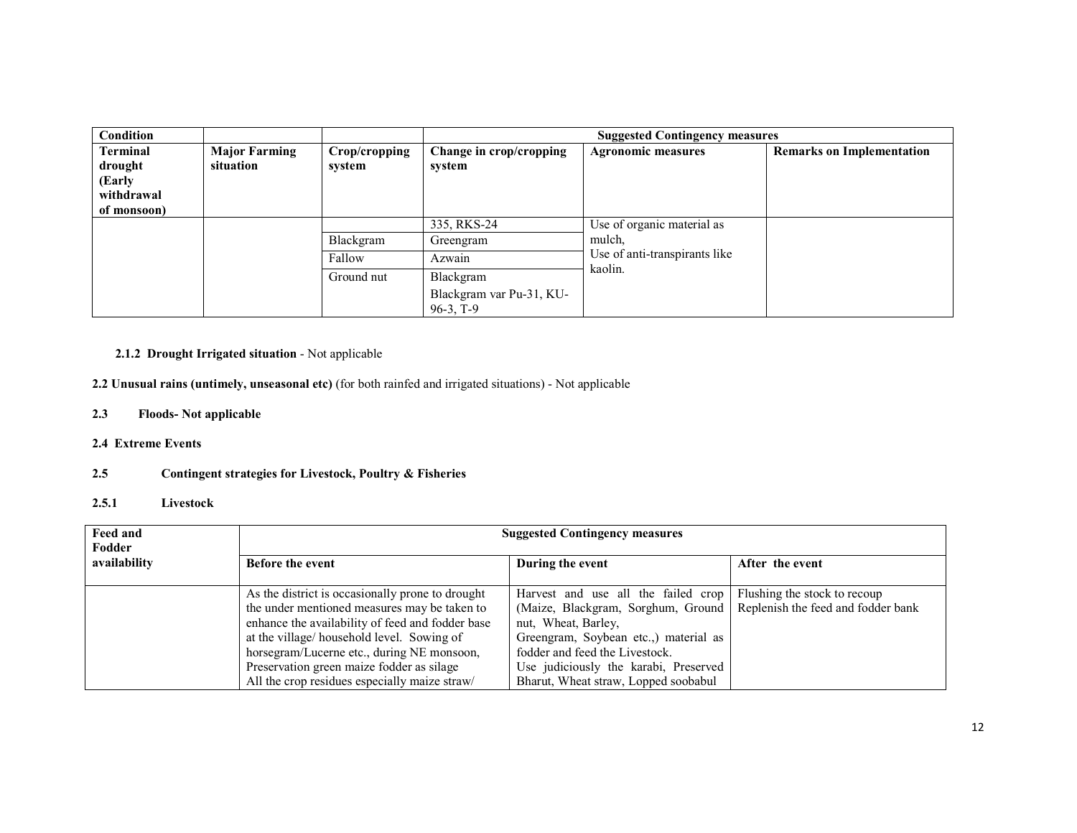| <b>Condition</b>                                           |                                   |                         | <b>Suggested Contingency measures</b>                |                                                                       |                                  |
|------------------------------------------------------------|-----------------------------------|-------------------------|------------------------------------------------------|-----------------------------------------------------------------------|----------------------------------|
| Terminal<br>drought<br>(Early<br>withdrawal<br>of monsoon) | <b>Major Farming</b><br>situation | Crop/cropping<br>system | Change in crop/cropping<br>system                    | <b>Agronomic measures</b>                                             | <b>Remarks on Implementation</b> |
|                                                            |                                   | Blackgram               | 335, RKS-24<br>Greengram                             | Use of organic material as<br>mulch,<br>Use of anti-transpirants like |                                  |
|                                                            |                                   | Fallow                  | Azwain                                               |                                                                       |                                  |
|                                                            |                                   | Ground nut              | Blackgram<br>Blackgram var Pu-31, KU-<br>$96-3, T-9$ | kaolin.                                                               |                                  |

# 2.1.2 Drought Irrigated situation - Not applicable

2.2 Unusual rains (untimely, unseasonal etc) (for both rainfed and irrigated situations) - Not applicable

- 2.3 Floods- Not applicable
- 2.4 Extreme Events

#### 2.5Contingent strategies for Livestock, Poultry & Fisheries

## 2.5.1 Livestock

| <b>Feed and</b><br>Fodder | <b>Suggested Contingency measures</b>                                                                                                                                                                                                                                                                                                         |                                                                                                                                                                                                                                                              |                                                                    |  |  |  |
|---------------------------|-----------------------------------------------------------------------------------------------------------------------------------------------------------------------------------------------------------------------------------------------------------------------------------------------------------------------------------------------|--------------------------------------------------------------------------------------------------------------------------------------------------------------------------------------------------------------------------------------------------------------|--------------------------------------------------------------------|--|--|--|
| availability              | <b>Before the event</b>                                                                                                                                                                                                                                                                                                                       | During the event                                                                                                                                                                                                                                             | After the event                                                    |  |  |  |
|                           | As the district is occasionally prone to drought<br>the under mentioned measures may be taken to<br>enhance the availability of feed and fodder base<br>at the village/household level. Sowing of<br>horsegram/Lucerne etc., during NE monsoon,<br>Preservation green maize fodder as silage<br>All the crop residues especially maize straw/ | Harvest and use all the failed crop<br>(Maize, Blackgram, Sorghum, Ground<br>nut, Wheat, Barley,<br>Greengram, Soybean etc.,) material as<br>fodder and feed the Livestock.<br>Use judiciously the karabi, Preserved<br>Bharut, Wheat straw, Lopped soobabul | Flushing the stock to recoup<br>Replenish the feed and fodder bank |  |  |  |